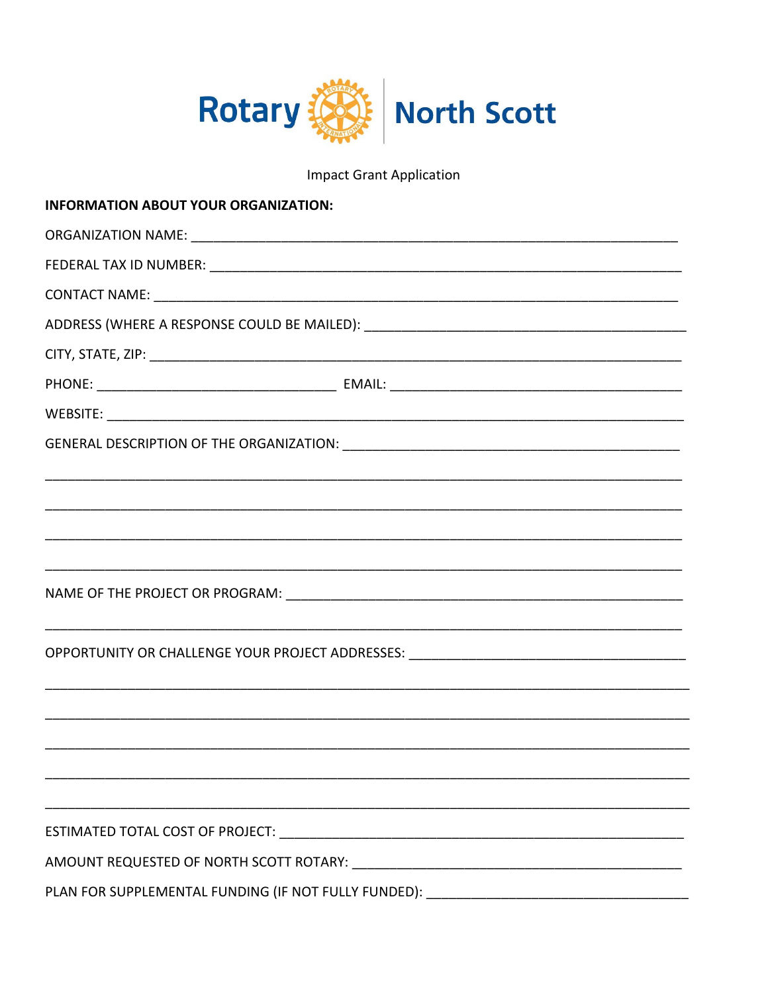

**Impact Grant Application** 

| <b>INFORMATION ABOUT YOUR ORGANIZATION:</b>                                      |  |  |
|----------------------------------------------------------------------------------|--|--|
|                                                                                  |  |  |
|                                                                                  |  |  |
|                                                                                  |  |  |
|                                                                                  |  |  |
|                                                                                  |  |  |
|                                                                                  |  |  |
|                                                                                  |  |  |
|                                                                                  |  |  |
|                                                                                  |  |  |
|                                                                                  |  |  |
|                                                                                  |  |  |
|                                                                                  |  |  |
|                                                                                  |  |  |
|                                                                                  |  |  |
| OPPORTUNITY OR CHALLENGE YOUR PROJECT ADDRESSES: _______________________________ |  |  |
|                                                                                  |  |  |
|                                                                                  |  |  |
|                                                                                  |  |  |
|                                                                                  |  |  |
|                                                                                  |  |  |
|                                                                                  |  |  |
|                                                                                  |  |  |
| PLAN FOR SUPPLEMENTAL FUNDING (IF NOT FULLY FUNDED):                             |  |  |